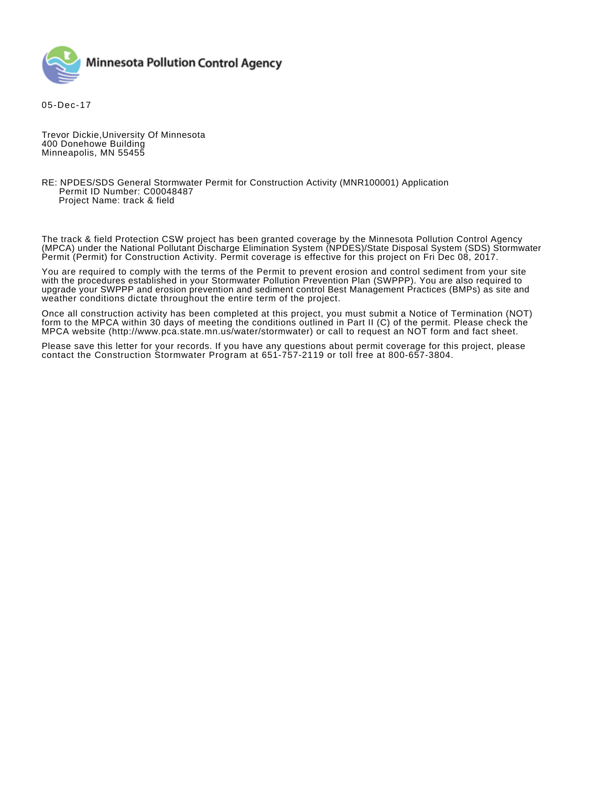

05-Dec-17

Trevor Dickie,University Of Minnesota 400 Donehowe Building Minneapolis, MN 55455

## RE: NPDES/SDS General Stormwater Permit for Construction Activity (MNR100001) Application Permit ID Number: C00048487 Project Name: track & field

The track & field Protection CSW project has been granted coverage by the Minnesota Pollution Control Agency (MPCA) under the National Pollutant Discharge Elimination System (NPDES)/State Disposal System (SDS) Stormwater Permit (Permit) for Construction Activity. Permit coverage is effective for this project on Fri Dec 08, 2017.

You are required to comply with the terms of the Permit to prevent erosion and control sediment from your site with the procedures established in your Stormwater Pollution Prevention Plan (SWPPP). You are also required to upgrade your SWPPP and erosion prevention and sediment control Best Management Practices (BMPs) as site and weather conditions dictate throughout the entire term of the project.

Once all construction activity has been completed at this project, you must submit a Notice of Termination (NOT) form to the MPCA within 30 days of meeting the conditions outlined in Part II (C) of the permit. Please check the MPCA website (http://www.pca.state.mn.us/water/stormwater) or call to request an NOT form and fact sheet.

Please save this letter for your records. If you have any questions about permit coverage for this project, please contact the Construction Stormwater Program at 651-757-2119 or toll free at 800-657-3804.